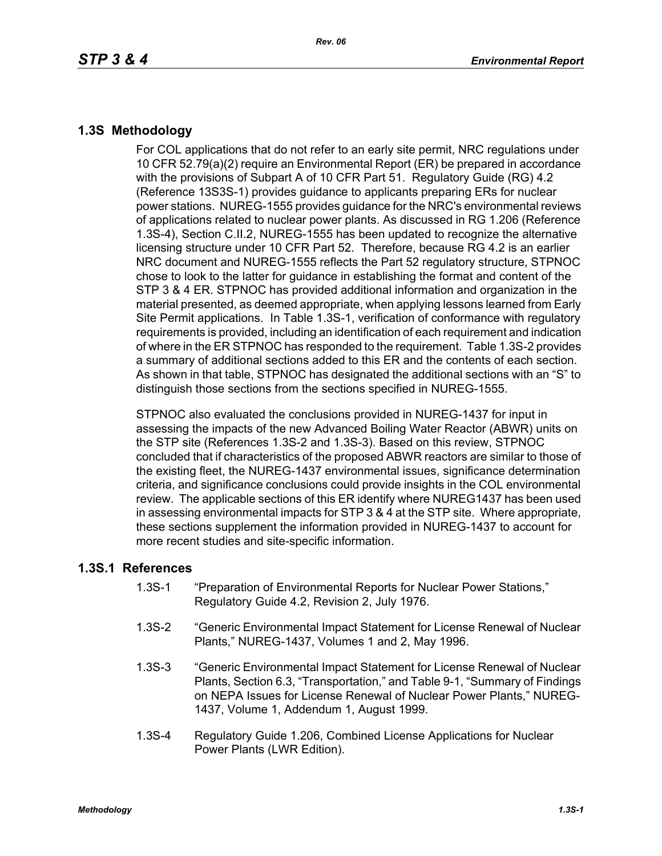## **1.3S Methodology**

For COL applications that do not refer to an early site permit, NRC regulations under 10 CFR 52.79(a)(2) require an Environmental Report (ER) be prepared in accordance with the provisions of Subpart A of 10 CFR Part 51. Regulatory Guide (RG) 4.2 (Reference 13S3S-1) provides guidance to applicants preparing ERs for nuclear power stations. NUREG-1555 provides guidance for the NRC's environmental reviews of applications related to nuclear power plants. As discussed in RG 1.206 (Reference 1.3S-4), Section C.II.2, NUREG-1555 has been updated to recognize the alternative licensing structure under 10 CFR Part 52. Therefore, because RG 4.2 is an earlier NRC document and NUREG-1555 reflects the Part 52 regulatory structure, STPNOC chose to look to the latter for guidance in establishing the format and content of the STP 3 & 4 ER. STPNOC has provided additional information and organization in the material presented, as deemed appropriate, when applying lessons learned from Early Site Permit applications. In Table 1.3S-1, verification of conformance with regulatory requirements is provided, including an identification of each requirement and indication of where in the ER STPNOC has responded to the requirement. Table 1.3S-2 provides a summary of additional sections added to this ER and the contents of each section. As shown in that table, STPNOC has designated the additional sections with an "S" to distinguish those sections from the sections specified in NUREG-1555.

STPNOC also evaluated the conclusions provided in NUREG-1437 for input in assessing the impacts of the new Advanced Boiling Water Reactor (ABWR) units on the STP site (References 1.3S-2 and 1.3S-3). Based on this review, STPNOC concluded that if characteristics of the proposed ABWR reactors are similar to those of the existing fleet, the NUREG-1437 environmental issues, significance determination criteria, and significance conclusions could provide insights in the COL environmental review. The applicable sections of this ER identify where NUREG1437 has been used in assessing environmental impacts for STP 3 & 4 at the STP site. Where appropriate, these sections supplement the information provided in NUREG-1437 to account for more recent studies and site-specific information.

## **1.3S.1 References**

- 1.3S-1 "Preparation of Environmental Reports for Nuclear Power Stations," Regulatory Guide 4.2, Revision 2, July 1976.
- 1.3S-2 "Generic Environmental Impact Statement for License Renewal of Nuclear Plants," NUREG-1437, Volumes 1 and 2, May 1996.
- 1.3S-3 "Generic Environmental Impact Statement for License Renewal of Nuclear Plants, Section 6.3, "Transportation," and Table 9-1, "Summary of Findings on NEPA Issues for License Renewal of Nuclear Power Plants," NUREG-1437, Volume 1, Addendum 1, August 1999.
- 1.3S-4 Regulatory Guide 1.206, Combined License Applications for Nuclear Power Plants (LWR Edition).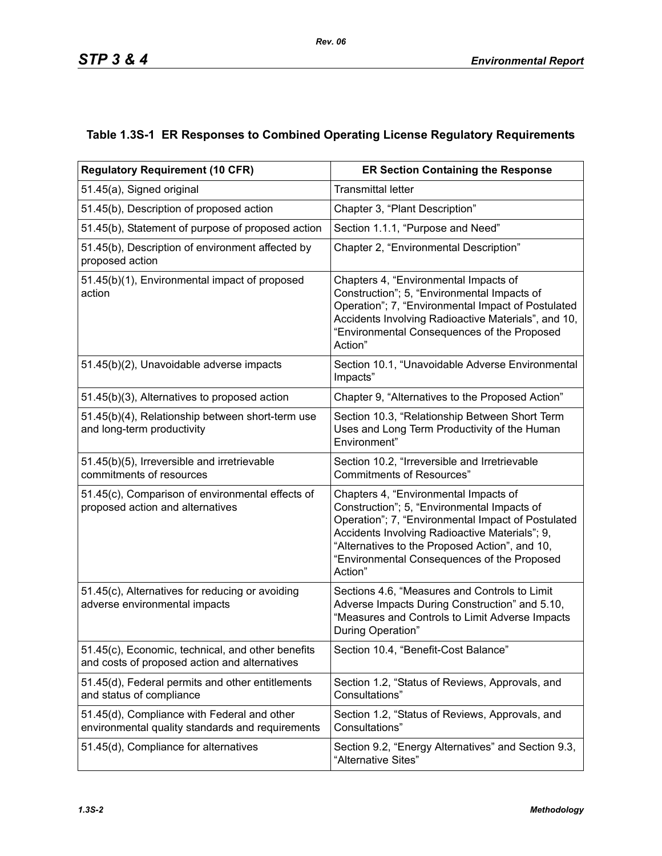## **Table 1.3S-1 ER Responses to Combined Operating License Regulatory Requirements**

| <b>Regulatory Requirement (10 CFR)</b>                                                             | <b>ER Section Containing the Response</b>                                                                                                                                                                                                                                                                |  |  |  |
|----------------------------------------------------------------------------------------------------|----------------------------------------------------------------------------------------------------------------------------------------------------------------------------------------------------------------------------------------------------------------------------------------------------------|--|--|--|
| 51.45(a), Signed original                                                                          | <b>Transmittal letter</b>                                                                                                                                                                                                                                                                                |  |  |  |
| 51.45(b), Description of proposed action                                                           | Chapter 3, "Plant Description"                                                                                                                                                                                                                                                                           |  |  |  |
| 51.45(b), Statement of purpose of proposed action                                                  | Section 1.1.1, "Purpose and Need"                                                                                                                                                                                                                                                                        |  |  |  |
| 51.45(b), Description of environment affected by<br>proposed action                                | Chapter 2, "Environmental Description"                                                                                                                                                                                                                                                                   |  |  |  |
| 51.45(b)(1), Environmental impact of proposed<br>action                                            | Chapters 4, "Environmental Impacts of<br>Construction"; 5, "Environmental Impacts of<br>Operation"; 7, "Environmental Impact of Postulated<br>Accidents Involving Radioactive Materials", and 10,<br>"Environmental Consequences of the Proposed<br>Action"                                              |  |  |  |
| 51.45(b)(2), Unavoidable adverse impacts                                                           | Section 10.1, "Unavoidable Adverse Environmental<br>Impacts"                                                                                                                                                                                                                                             |  |  |  |
| 51.45(b)(3), Alternatives to proposed action                                                       | Chapter 9, "Alternatives to the Proposed Action"                                                                                                                                                                                                                                                         |  |  |  |
| 51.45(b)(4), Relationship between short-term use<br>and long-term productivity                     | Section 10.3, "Relationship Between Short Term<br>Uses and Long Term Productivity of the Human<br>Environment"                                                                                                                                                                                           |  |  |  |
| 51.45(b)(5), Irreversible and irretrievable<br>commitments of resources                            | Section 10.2, "Irreversible and Irretrievable<br><b>Commitments of Resources"</b>                                                                                                                                                                                                                        |  |  |  |
| 51.45(c), Comparison of environmental effects of<br>proposed action and alternatives               | Chapters 4, "Environmental Impacts of<br>Construction"; 5, "Environmental Impacts of<br>Operation"; 7, "Environmental Impact of Postulated<br>Accidents Involving Radioactive Materials"; 9,<br>"Alternatives to the Proposed Action", and 10,<br>"Environmental Consequences of the Proposed<br>Action" |  |  |  |
| 51.45(c), Alternatives for reducing or avoiding<br>adverse environmental impacts                   | Sections 4.6, "Measures and Controls to Limit<br>Adverse Impacts During Construction" and 5.10,<br>"Measures and Controls to Limit Adverse Impacts<br>During Operation"                                                                                                                                  |  |  |  |
| 51.45(c), Economic, technical, and other benefits<br>and costs of proposed action and alternatives | Section 10.4, "Benefit-Cost Balance"                                                                                                                                                                                                                                                                     |  |  |  |
| 51.45(d), Federal permits and other entitlements<br>and status of compliance                       | Section 1.2, "Status of Reviews, Approvals, and<br>Consultations"                                                                                                                                                                                                                                        |  |  |  |
| 51.45(d), Compliance with Federal and other<br>environmental quality standards and requirements    | Section 1.2, "Status of Reviews, Approvals, and<br>Consultations"                                                                                                                                                                                                                                        |  |  |  |
| 51.45(d), Compliance for alternatives                                                              | Section 9.2, "Energy Alternatives" and Section 9.3,<br>"Alternative Sites"                                                                                                                                                                                                                               |  |  |  |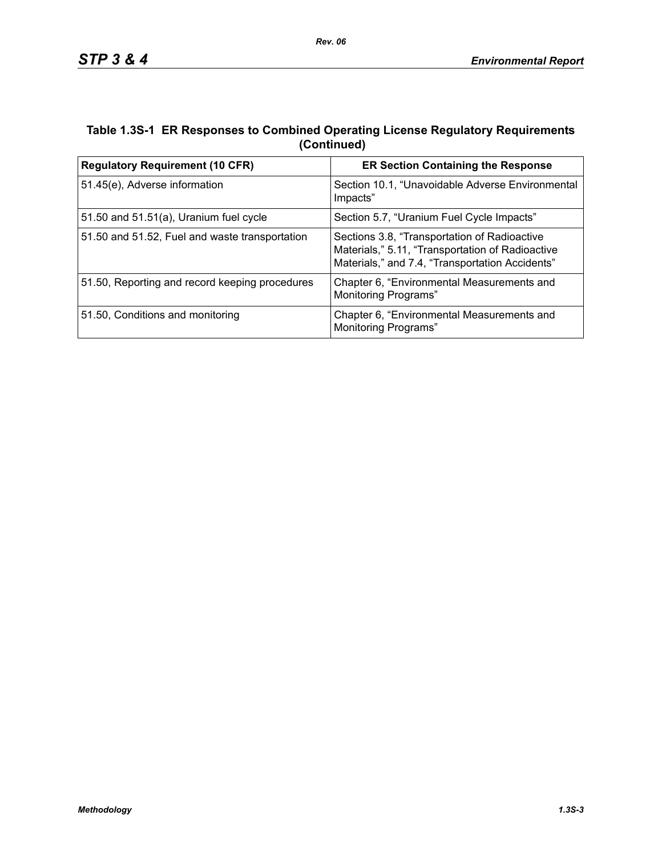## **Table 1.3S-1 ER Responses to Combined Operating License Regulatory Requirements (Continued)**

| <b>Regulatory Requirement (10 CFR)</b>         | <b>ER Section Containing the Response</b>                                                                                                           |  |  |
|------------------------------------------------|-----------------------------------------------------------------------------------------------------------------------------------------------------|--|--|
| 51.45(e), Adverse information                  | Section 10.1, "Unavoidable Adverse Environmental<br>Impacts"                                                                                        |  |  |
| 51.50 and $51.51(a)$ , Uranium fuel cycle      | Section 5.7, "Uranium Fuel Cycle Impacts"                                                                                                           |  |  |
| 51.50 and 51.52, Fuel and waste transportation | Sections 3.8, "Transportation of Radioactive<br>Materials," 5.11, "Transportation of Radioactive<br>Materials," and 7.4, "Transportation Accidents" |  |  |
| 51.50, Reporting and record keeping procedures | Chapter 6, "Environmental Measurements and<br><b>Monitoring Programs"</b>                                                                           |  |  |
| 51.50, Conditions and monitoring               | Chapter 6, "Environmental Measurements and<br>Monitoring Programs"                                                                                  |  |  |